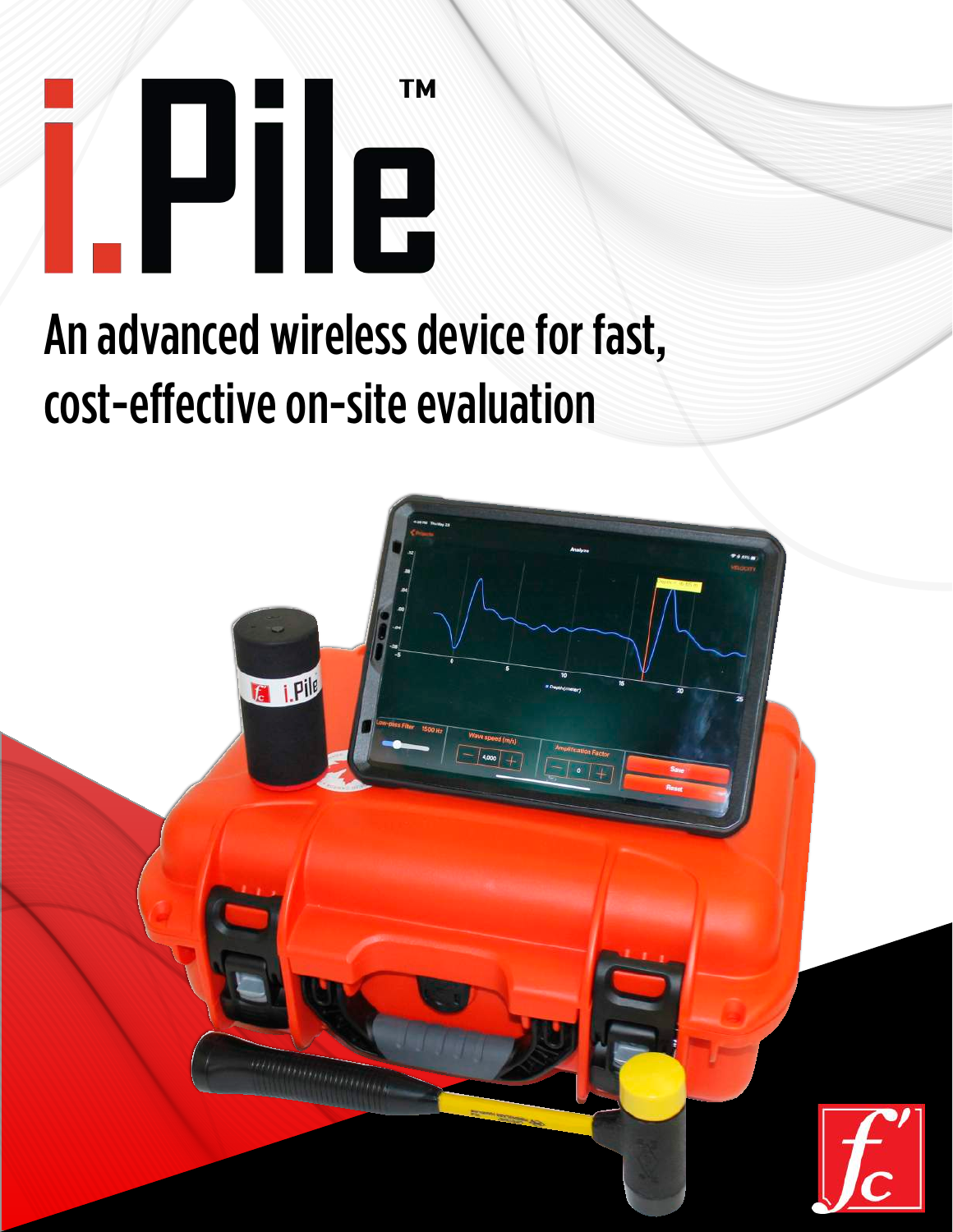

# An advanced wireless device for fast, cost-effective on-site evaluation